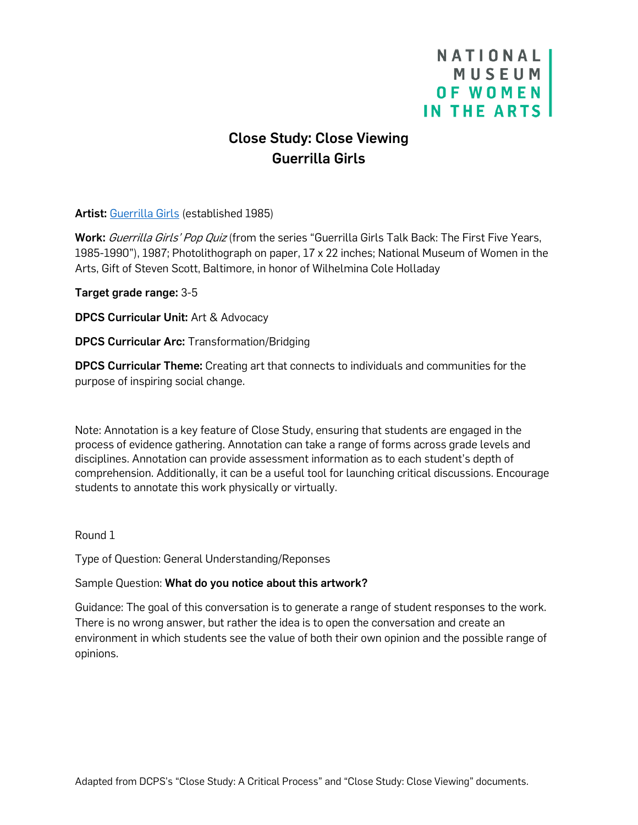# NATIONAL **MUSEUM** OF WOMEN IN THE ARTS

# Close Study: Close Viewing Guerrilla Girls

Artist: [Guerrilla Girls](https://nmwa.org/art/artists/guerrilla-girls/) (established 1985)

Work: Guerrilla Girls' Pop Quiz (from the series "Guerrilla Girls Talk Back: The First Five Years, 1985-1990"), 1987; Photolithograph on paper, 17 x 22 inches; National Museum of Women in the Arts, Gift of Steven Scott, Baltimore, in honor of Wilhelmina Cole Holladay

Target grade range: 3-5

DPCS Curricular Unit: Art & Advocacy

DPCS Curricular Arc: Transformation/Bridging

DPCS Curricular Theme: Creating art that connects to individuals and communities for the purpose of inspiring social change.

Note: Annotation is a key feature of Close Study, ensuring that students are engaged in the process of evidence gathering. Annotation can take a range of forms across grade levels and disciplines. Annotation can provide assessment information as to each student's depth of comprehension. Additionally, it can be a useful tool for launching critical discussions. Encourage students to annotate this work physically or virtually.

Round 1

Type of Question: General Understanding/Reponses

# Sample Question: What do you notice about this artwork?

Guidance: The goal of this conversation is to generate a range of student responses to the work. There is no wrong answer, but rather the idea is to open the conversation and create an environment in which students see the value of both their own opinion and the possible range of opinions.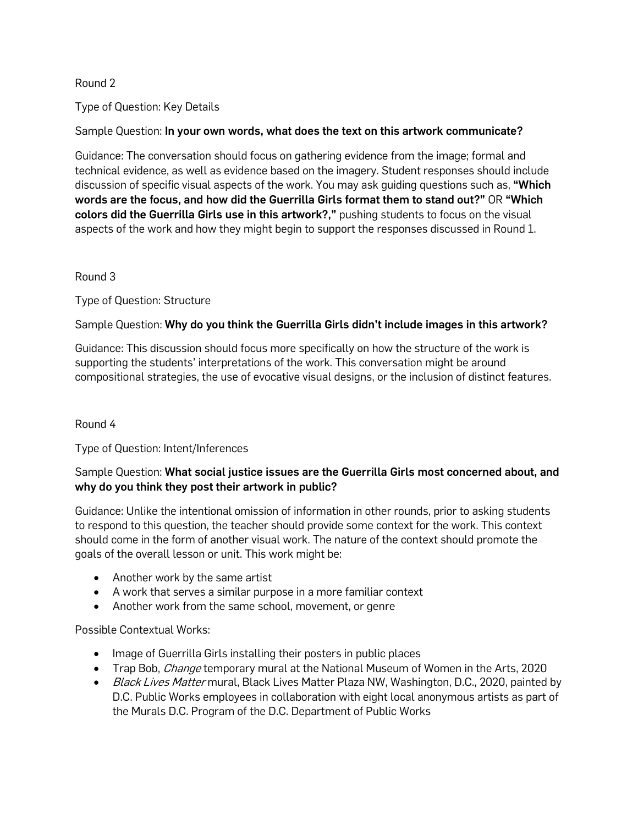## Round 2

Type of Question: Key Details

## Sample Question: In your own words, what does the text on this artwork communicate?

Guidance: The conversation should focus on gathering evidence from the image; formal and technical evidence, as well as evidence based on the imagery. Student responses should include discussion of specific visual aspects of the work. You may ask quiding questions such as, "Which words are the focus, and how did the Guerrilla Girls format them to stand out?" OR "Which colors did the Guerrilla Girls use in this artwork?," pushing students to focus on the visual aspects of the work and how they might begin to support the responses discussed in Round 1.

### Round 3

Type of Question: Structure

# Sample Question: Why do you think the Guerrilla Girls didn't include images in this artwork?

Guidance: This discussion should focus more specifically on how the structure of the work is supporting the students' interpretations of the work. This conversation might be around compositional strategies, the use of evocative visual designs, or the inclusion of distinct features.

### Round 4

Type of Question: Intent/Inferences

## Sample Question: What social justice issues are the Guerrilla Girls most concerned about, and why do you think they post their artwork in public?

Guidance: Unlike the intentional omission of information in other rounds, prior to asking students to respond to this question, the teacher should provide some context for the work. This context should come in the form of another visual work. The nature of the context should promote the goals of the overall lesson or unit. This work might be:

- Another work by the same artist
- A work that serves a similar purpose in a more familiar context
- Another work from the same school, movement, or genre

### Possible Contextual Works:

- Image of Guerrilla Girls installing their posters in public places
- Trap Bob, *Change* temporary mural at the National Museum of Women in the Arts, 2020
- Black Lives Matter mural, Black Lives Matter Plaza NW, Washington, D.C., 2020, painted by D.C. Public Works employees in collaboration with eight local anonymous artists as part of the Murals D.C. Program of the D.C. Department of Public Works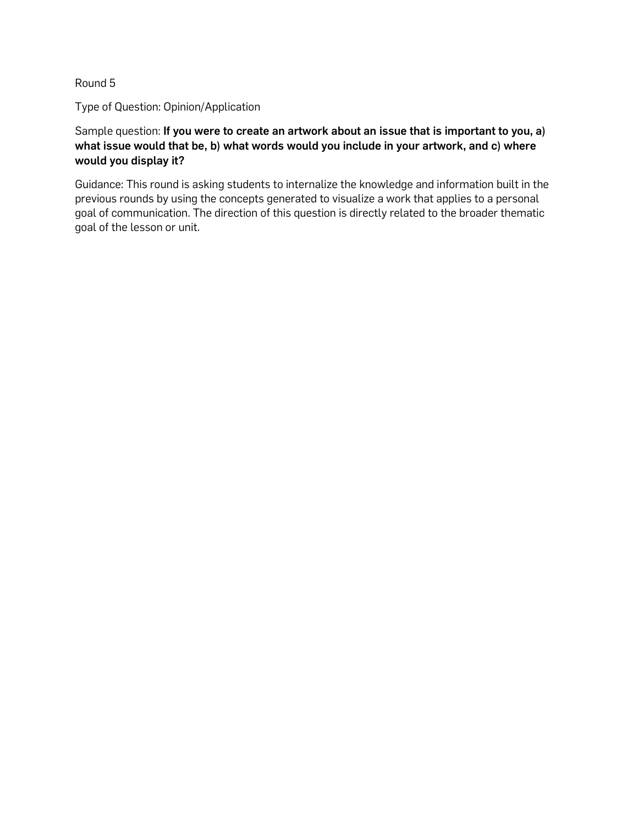## Round 5

Type of Question: Opinion/Application

Sample question: If you were to create an artwork about an issue that is important to you, a) what issue would that be, b) what words would you include in your artwork, and c) where would you display it?

Guidance: This round is asking students to internalize the knowledge and information built in the previous rounds by using the concepts generated to visualize a work that applies to a personal goal of communication. The direction of this question is directly related to the broader thematic goal of the lesson or unit.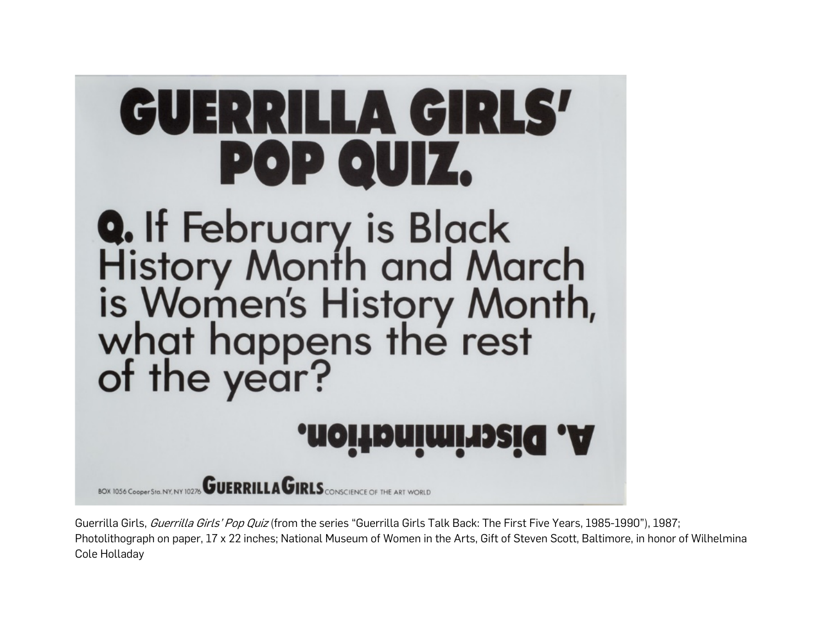

Guerrilla Girls, Guerrilla Girls' Pop Quiz (from the series "Guerrilla Girls Talk Back: The First Five Years, 1985-1990"), 1987; Photolithograph on paper, 17 x 22 inches; National Museum of Women in the Arts, Gift of Steven Scott, Baltimore, in honor of Wilhelmina Cole Holladay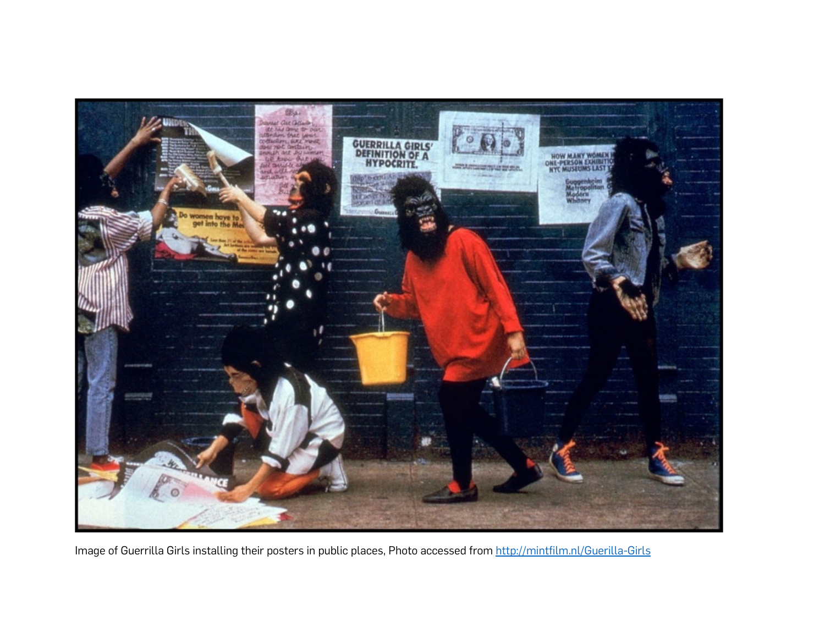

Image of Guerrilla Girls installing their posters in public places, Photo accessed from <http://mintfilm.nl/Guerilla-Girls>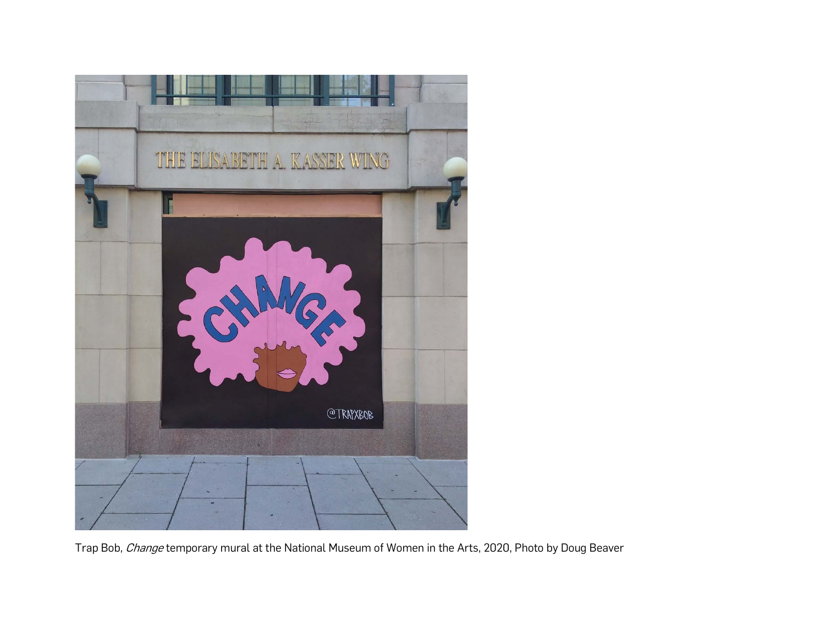

Trap Bob, Change temporary mural at the National Museum of Women in the Arts, 2020, Photo by Doug Beaver